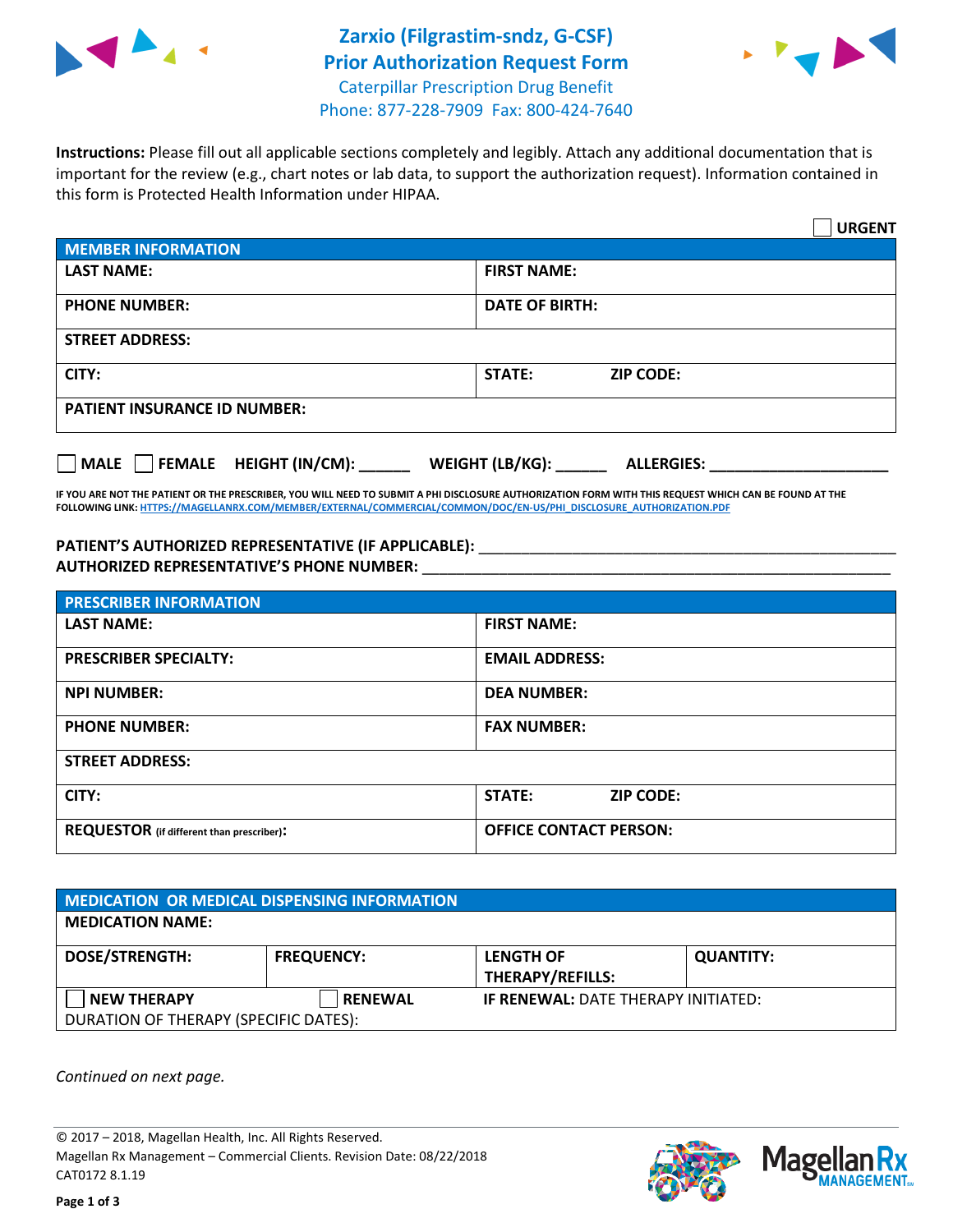



**Instructions:** Please fill out all applicable sections completely and legibly. Attach any additional documentation that is important for the review (e.g., chart notes or lab data, to support the authorization request). Information contained in this form is Protected Health Information under HIPAA.

|                                                | <b>URGENT</b>                        |  |  |
|------------------------------------------------|--------------------------------------|--|--|
| <b>MEMBER INFORMATION</b>                      |                                      |  |  |
| <b>LAST NAME:</b>                              | <b>FIRST NAME:</b>                   |  |  |
| <b>PHONE NUMBER:</b>                           | <b>DATE OF BIRTH:</b>                |  |  |
| <b>STREET ADDRESS:</b>                         |                                      |  |  |
| CITY:                                          | <b>STATE:</b><br><b>ZIP CODE:</b>    |  |  |
| <b>PATIENT INSURANCE ID NUMBER:</b>            |                                      |  |  |
| $\Box$ FEMALE HEIGHT (IN/CM): _<br><b>MALE</b> | WEIGHT (LB/KG):<br><b>ALLERGIES:</b> |  |  |

**IF YOU ARE NOT THE PATIENT OR THE PRESCRIBER, YOU WILL NEED TO SUBMIT A PHI DISCLOSURE AUTHORIZATION FORM WITH THIS REQUEST WHICH CAN BE FOUND AT THE FOLLOWING LINK[: HTTPS://MAGELLANRX.COM/MEMBER/EXTERNAL/COMMERCIAL/COMMON/DOC/EN-US/PHI\\_DISCLOSURE\\_AUTHORIZATION.PDF](https://magellanrx.com/member/external/commercial/common/doc/en-us/PHI_Disclosure_Authorization.pdf)**

PATIENT'S AUTHORIZED REPRESENTATIVE (IF APPLICABLE): \_\_\_\_\_\_\_\_\_\_\_\_\_\_\_\_\_\_\_\_\_\_\_\_\_\_\_ **AUTHORIZED REPRESENTATIVE'S PHONE NUMBER:** \_\_\_\_\_\_\_\_\_\_\_\_\_\_\_\_\_\_\_\_\_\_\_\_\_\_\_\_\_\_\_\_\_\_\_\_\_\_\_\_\_\_\_\_\_\_\_\_\_\_\_\_\_\_\_

| <b>PRESCRIBER INFORMATION</b>             |                               |  |  |
|-------------------------------------------|-------------------------------|--|--|
| <b>LAST NAME:</b>                         | <b>FIRST NAME:</b>            |  |  |
| <b>PRESCRIBER SPECIALTY:</b>              | <b>EMAIL ADDRESS:</b>         |  |  |
| <b>NPI NUMBER:</b>                        | <b>DEA NUMBER:</b>            |  |  |
| <b>PHONE NUMBER:</b>                      | <b>FAX NUMBER:</b>            |  |  |
| <b>STREET ADDRESS:</b>                    |                               |  |  |
| CITY:                                     | STATE:<br><b>ZIP CODE:</b>    |  |  |
| REQUESTOR (if different than prescriber): | <b>OFFICE CONTACT PERSON:</b> |  |  |

| MEDICATION OR MEDICAL DISPENSING INFORMATION |                   |                                            |                  |  |
|----------------------------------------------|-------------------|--------------------------------------------|------------------|--|
| <b>MEDICATION NAME:</b>                      |                   |                                            |                  |  |
| <b>DOSE/STRENGTH:</b>                        | <b>FREQUENCY:</b> | <b>LENGTH OF</b>                           | <b>QUANTITY:</b> |  |
|                                              |                   | <b>THERAPY/REFILLS:</b>                    |                  |  |
| <b>NEW THERAPY</b>                           | <b>RENEWAL</b>    | <b>IF RENEWAL: DATE THERAPY INITIATED:</b> |                  |  |
| DURATION OF THERAPY (SPECIFIC DATES):        |                   |                                            |                  |  |

*Continued on next page.*

© 2017 – 2018, Magellan Health, Inc. All Rights Reserved. Magellan Rx Management – Commercial Clients. Revision Date: 08/22/2018 CAT0172 8.1.19



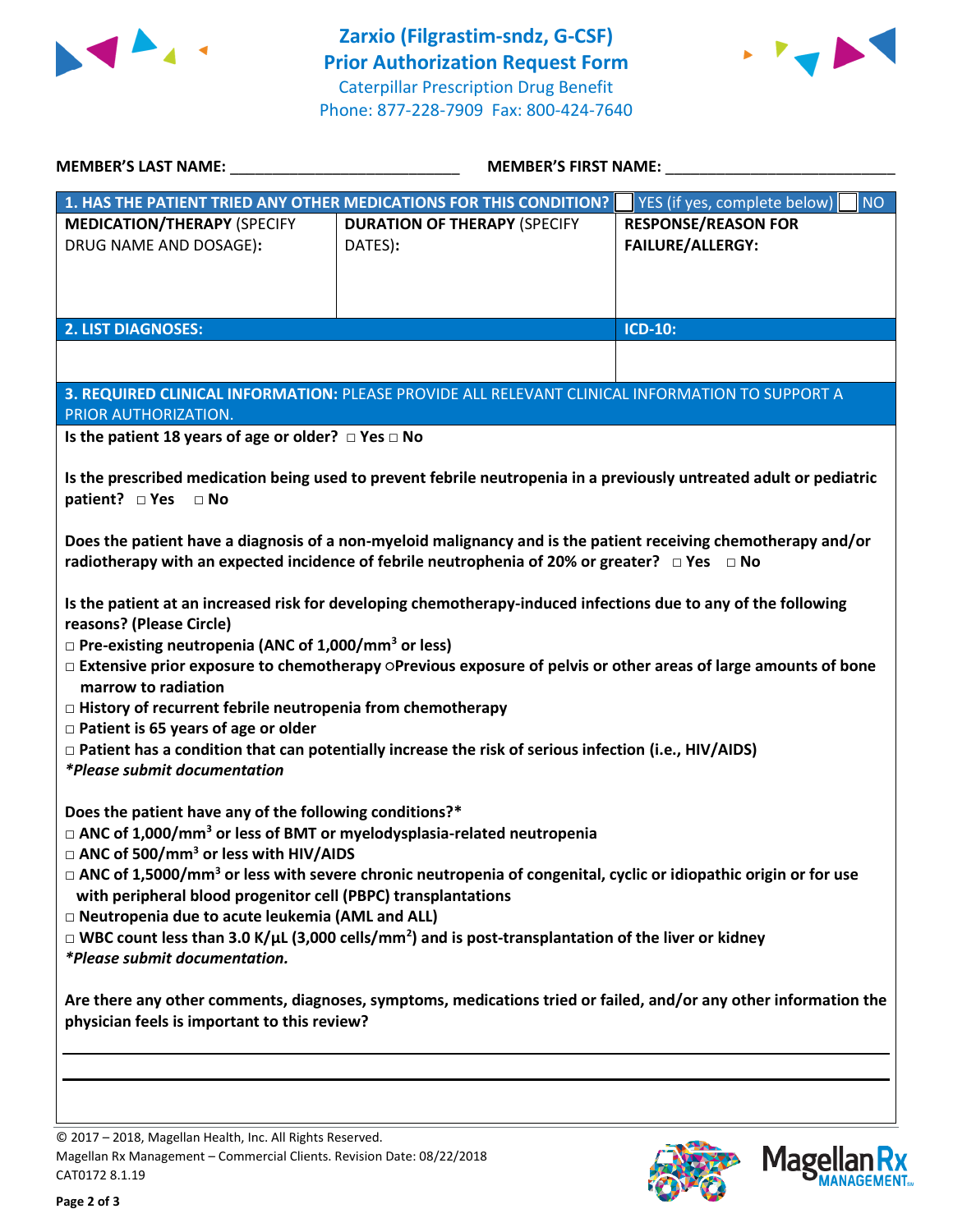



| <b>MEMBER'S FIRST NAME:</b>                                                                                                                                                                                                                                                                                                                                                                                                                                                                                                                                                                                                                                                                                                                                                                                                                                                                                                                                                                                           |                                                                                                                                                                                                |  |  |  |
|-----------------------------------------------------------------------------------------------------------------------------------------------------------------------------------------------------------------------------------------------------------------------------------------------------------------------------------------------------------------------------------------------------------------------------------------------------------------------------------------------------------------------------------------------------------------------------------------------------------------------------------------------------------------------------------------------------------------------------------------------------------------------------------------------------------------------------------------------------------------------------------------------------------------------------------------------------------------------------------------------------------------------|------------------------------------------------------------------------------------------------------------------------------------------------------------------------------------------------|--|--|--|
|                                                                                                                                                                                                                                                                                                                                                                                                                                                                                                                                                                                                                                                                                                                                                                                                                                                                                                                                                                                                                       | <b>NO</b><br>YES (if yes, complete below)                                                                                                                                                      |  |  |  |
| <b>DURATION OF THERAPY (SPECIFY</b><br>DATES):                                                                                                                                                                                                                                                                                                                                                                                                                                                                                                                                                                                                                                                                                                                                                                                                                                                                                                                                                                        | <b>RESPONSE/REASON FOR</b><br><b>FAILURE/ALLERGY:</b>                                                                                                                                          |  |  |  |
|                                                                                                                                                                                                                                                                                                                                                                                                                                                                                                                                                                                                                                                                                                                                                                                                                                                                                                                                                                                                                       | <b>ICD-10:</b>                                                                                                                                                                                 |  |  |  |
|                                                                                                                                                                                                                                                                                                                                                                                                                                                                                                                                                                                                                                                                                                                                                                                                                                                                                                                                                                                                                       |                                                                                                                                                                                                |  |  |  |
| 3. REQUIRED CLINICAL INFORMATION: PLEASE PROVIDE ALL RELEVANT CLINICAL INFORMATION TO SUPPORT A<br>PRIOR AUTHORIZATION.                                                                                                                                                                                                                                                                                                                                                                                                                                                                                                                                                                                                                                                                                                                                                                                                                                                                                               |                                                                                                                                                                                                |  |  |  |
|                                                                                                                                                                                                                                                                                                                                                                                                                                                                                                                                                                                                                                                                                                                                                                                                                                                                                                                                                                                                                       |                                                                                                                                                                                                |  |  |  |
| Is the prescribed medication being used to prevent febrile neutropenia in a previously untreated adult or pediatric<br>patient? □ Yes<br>$\Box$ No<br>Does the patient have a diagnosis of a non-myeloid malignancy and is the patient receiving chemotherapy and/or<br>radiotherapy with an expected incidence of febrile neutrophenia of 20% or greater? $\Box$ Yes $\Box$ No<br>Is the patient at an increased risk for developing chemotherapy-induced infections due to any of the following<br>reasons? (Please Circle)<br>$\Box$ Pre-existing neutropenia (ANC of 1,000/mm <sup>3</sup> or less)<br>□ Extensive prior exposure to chemotherapy OPrevious exposure of pelvis or other areas of large amounts of bone<br>marrow to radiation<br>$\Box$ History of recurrent febrile neutropenia from chemotherapy<br>$\Box$ Patient is 65 years of age or older<br>□ Patient has a condition that can potentially increase the risk of serious infection (i.e., HIV/AIDS)<br><i>*Please submit documentation</i> |                                                                                                                                                                                                |  |  |  |
| $\Box$ ANC of 1,000/mm <sup>3</sup> or less of BMT or myelodysplasia-related neutropenia<br>$\Box$ ANC of 500/mm <sup>3</sup> or less with HIV/AIDS<br>$\Box$ ANC of 1,5000/mm <sup>3</sup> or less with severe chronic neutropenia of congenital, cyclic or idiopathic origin or for use<br>with peripheral blood progenitor cell (PBPC) transplantations<br>□ Neutropenia due to acute leukemia (AML and ALL)<br>$\Box$ WBC count less than 3.0 K/µL (3,000 cells/mm <sup>2</sup> ) and is post-transplantation of the liver or kidney                                                                                                                                                                                                                                                                                                                                                                                                                                                                              |                                                                                                                                                                                                |  |  |  |
| *Please submit documentation.<br>Are there any other comments, diagnoses, symptoms, medications tried or failed, and/or any other information the<br>physician feels is important to this review?                                                                                                                                                                                                                                                                                                                                                                                                                                                                                                                                                                                                                                                                                                                                                                                                                     |                                                                                                                                                                                                |  |  |  |
|                                                                                                                                                                                                                                                                                                                                                                                                                                                                                                                                                                                                                                                                                                                                                                                                                                                                                                                                                                                                                       | 1. HAS THE PATIENT TRIED ANY OTHER MEDICATIONS FOR THIS CONDITION?<br>Is the patient 18 years of age or older? $\Box$ Yes $\Box$ No<br>Does the patient have any of the following conditions?* |  |  |  |